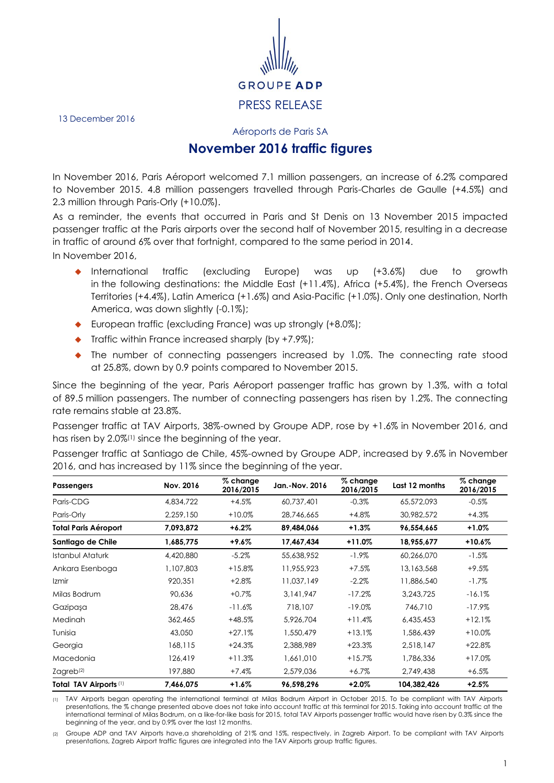

13 December 2016

Aéroports de Paris SA

## **November 2016 traffic figures**

In November 2016, Paris Aéroport welcomed 7.1 million passengers, an increase of 6.2% compared to November 2015. 4.8 million passengers travelled through Paris-Charles de Gaulle (+4.5%) and 2.3 million through Paris-Orly (+10.0%).

As a reminder, the events that occurred in Paris and St Denis on 13 November 2015 impacted passenger traffic at the Paris airports over the second half of November 2015, resulting in a decrease in traffic of around 6% over that fortnight, compared to the same period in 2014.

In November 2016,

- International traffic (excluding Europe) was up (+3.6%) due to growth in the following destinations: the Middle East (+11.4%), Africa (+5.4%), the French Overseas Territories (+4.4%), Latin America (+1.6%) and Asia-Pacific (+1.0%). Only one destination, North America, was down slightly (-0.1%);
- European traffic (excluding France) was up strongly (+8.0%);
- $\blacklozenge$  Traffic within France increased sharply (by +7.9%);
- The number of connecting passengers increased by 1.0%. The connecting rate stood at 25.8%, down by 0.9 points compared to November 2015.

Since the beginning of the year, Paris Aéroport passenger traffic has grown by 1.3%, with a total of 89.5 million passengers. The number of connecting passengers has risen by 1.2%. The connecting rate remains stable at 23.8%.

Passenger traffic at TAV Airports, 38%-owned by Groupe ADP, rose by +1.6% in November 2016, and has risen by 2.0%(1) since the beginning of the year.

Passenger traffic at Santiago de Chile, 45%-owned by Groupe ADP, increased by 9.6% in November 2016, and has increased by 11% since the beginning of the year.

| <b>Passengers</b>           | Nov. 2016 | $%$ change<br>2016/2015 | Jan.-Nov. 2016 | $%$ change<br>2016/2015 | Last 12 months | % change<br>2016/2015 |
|-----------------------------|-----------|-------------------------|----------------|-------------------------|----------------|-----------------------|
| Paris-CDG                   | 4,834,722 | $+4.5%$                 | 60,737,401     | $-0.3%$                 | 65,572,093     | $-0.5\%$              |
| Paris-Orly                  | 2,259,150 | $+10.0%$                | 28,746,665     | $+4.8%$                 | 30,982,572     | $+4.3%$               |
| <b>Total Paris Aéroport</b> | 7,093,872 | $+6.2\%$                | 89,484,066     | $+1.3\%$                | 96,554,665     | $+1.0%$               |
| Santiago de Chile           | 1,685,775 | $+9.6%$                 | 17,467,434     | $+11.0%$                | 18,955,677     | $+10.6%$              |
| Istanbul Ataturk            | 4,420,880 | $-5.2%$                 | 55,638,952     | $-1.9\%$                | 60,266,070     | $-1.5%$               |
| Ankara Esenboga             | 1,107,803 | $+15.8%$                | 11,955,923     | $+7.5%$                 | 13,163,568     | +9.5%                 |
| Izmir                       | 920,351   | $+2.8%$                 | 11,037,149     | $-2.2\%$                | 11,886,540     | $-1.7\%$              |
| Milas Bodrum                | 90,636    | $+0.7%$                 | 3,141,947      | $-17.2%$                | 3,243,725      | $-16.1%$              |
| Gazipaşa                    | 28,476    | $-11.6\%$               | 718,107        | $-19.0\%$               | 746,710        | $-17.9\%$             |
| Medinah                     | 362,465   | $+48.5%$                | 5,926,704      | $+11.4%$                | 6,435,453      | $+12.1%$              |
| Tunisia                     | 43,050    | $+27.1%$                | 1,550,479      | $+13.1%$                | 1,586,439      | $+10.0%$              |
| Georgia                     | 168,115   | $+24.3%$                | 2,388,989      | $+23.3%$                | 2,518,147      | $+22.8%$              |
| Macedonia                   | 126,419   | $+11.3%$                | 1,661,010      | $+15.7%$                | 1,786,336      | $+17.0%$              |
| Zagreb <sup>(2)</sup>       | 197,880   | $+7.4%$                 | 2,579,036      | $+6.7\%$                | 2,749,438      | $+6.5\%$              |
| Total TAV Airports (1)      | 7,466,075 | $+1.6\%$                | 96,598,296     | $+2.0%$                 | 104,382,426    | $+2.5%$               |

(1) TAV Airports began operating the international terminal at Milas Bodrum Airport in October 2015. To be compliant with TAV Airports presentations, the % change presented above does not take into account traffic at this terminal for 2015. Taking into account traffic at the international terminal of Milas Bodrum, on a like-for-like basis for 2015, total TAV Airports passenger traffic would have risen by 0.3% since the beginning of the year, and by 0.9% over the last 12 months.

(2) Groupe ADP and TAV Airports have,a shareholding of 21% and 15%, respectively, in Zagreb Airport. To be compliant with TAV Airports presentations, Zagreb Airport traffic figures are integrated into the TAV Airports group traffic figures.